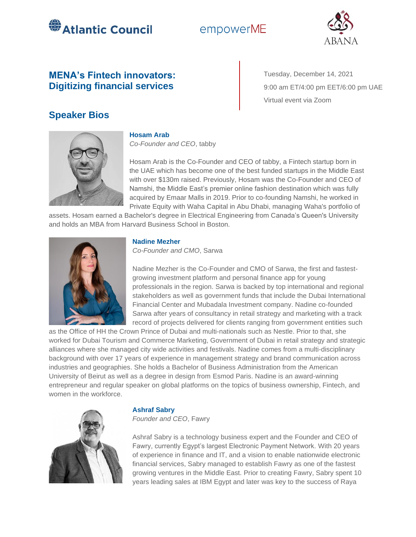

# empowerME



## **MENA's Fintech innovators: Digitizing financial services**

Tuesday, December 14, 2021 9:00 am ET/4:00 pm EET/6:00 pm UAE Virtual event via Zoom

## **Speaker Bios**



### **Hosam Arab**

*Co-Founder and CEO*, tabby

Hosam Arab is the Co-Founder and CEO of tabby, a Fintech startup born in the UAE which has become one of the best funded startups in the Middle East with over \$130m raised. Previously, Hosam was the Co-Founder and CEO of Namshi, the Middle East's premier online fashion destination which was fully acquired by Emaar Malls in 2019. Prior to co-founding Namshi, he worked in Private Equity with Waha Capital in Abu Dhabi, managing Waha's portfolio of

assets. Hosam earned a Bachelor's degree in Electrical Engineering from Canada's Queen's University and holds an MBA from Harvard Business School in Boston.



#### **Nadine Mezher**

*Co-Founder and CMO*, Sarwa

Nadine Mezher is the Co-Founder and CMO of Sarwa, the first and fastestgrowing investment platform and personal finance app for young professionals in the region. Sarwa is backed by top international and regional stakeholders as well as government funds that include the Dubai International Financial Center and Mubadala Investment company. Nadine co-founded Sarwa after years of consultancy in retail strategy and marketing with a track record of projects delivered for clients ranging from government entities such

as the Office of HH the Crown Prince of Dubai and multi-nationals such as Nestle. Prior to that, she worked for Dubai Tourism and Commerce Marketing, Government of Dubai in retail strategy and strategic alliances where she managed city wide activities and festivals. Nadine comes from a multi-disciplinary background with over 17 years of experience in management strategy and brand communication across industries and geographies. She holds a Bachelor of Business Administration from the American University of Beirut as well as a degree in design from Esmod Paris. Nadine is an award-winning entrepreneur and regular speaker on global platforms on the topics of business ownership, Fintech, and women in the workforce.



### **Ashraf Sabry**

*Founder and CEO*, Fawry

Ashraf Sabry is a technology business expert and the Founder and CEO of Fawry, currently Egypt's largest Electronic Payment Network. With 20 years of experience in finance and IT, and a vision to enable nationwide electronic financial services, Sabry managed to establish Fawry as one of the fastest growing ventures in the Middle East. Prior to creating Fawry, Sabry spent 10 years leading sales at IBM Egypt and later was key to the success of Raya